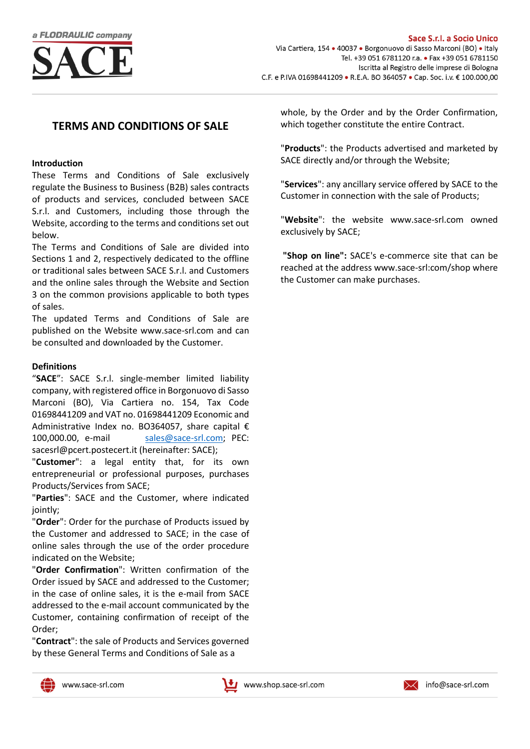

# **TERMS AND CONDITIONS OF SALE**

#### **Introduction**

These Terms and Conditions of Sale exclusively regulate the Business to Business (B2B) sales contracts of products and services, concluded between SACE S.r.l. and Customers, including those through the Website, according to the terms and conditions set out below.

The Terms and Conditions of Sale are divided into Sections 1 and 2, respectively dedicated to the offline or traditional sales between SACE S.r.l. and Customers and the online sales through the Website and Section 3 on the common provisions applicable to both types of sales.

The updated Terms and Conditions of Sale are published on the Website [www.sace-srl.com](http://www.sace-srl.com/) and can be consulted and downloaded by the Customer.

### **Definitions**

"**SACE**": SACE S.r.l. single-member limited liability company, with registered office in Borgonuovo di Sasso Marconi (BO), Via Cartiera no. 154, Tax Code 01698441209 and VAT no. 01698441209 Economic and Administrative Index no. BO364057, share capital € 100,000.00, e-mail [sales@sace-srl.com;](mailto:sales@sace-srl.com) PEC: sacesrl@pcert.postecert.it (hereinafter: SACE);

"**Customer**": a legal entity that, for its own entrepreneurial or professional purposes, purchases Products/Services from SACE;

"**Parties**": SACE and the Customer, where indicated jointly;

"**Order**": Order for the purchase of Products issued by the Customer and addressed to SACE; in the case of online sales through the use of the order procedure indicated on the Website;

"**Order Confirmation**": Written confirmation of the Order issued by SACE and addressed to the Customer; in the case of online sales, it is the e-mail from SACE addressed to the e-mail account communicated by the Customer, containing confirmation of receipt of the Order;

"**Contract**": the sale of Products and Services governed by these General Terms and Conditions of Sale as a

whole, by the Order and by the Order Confirmation, which together constitute the entire Contract.

"**Products**": the Products advertised and marketed by SACE directly and/or through the Website;

"**Services**": any ancillary service offered by SACE to the Customer in connection with the sale of Products;

"**Website**": the website www.sace-srl.com owned exclusively by SACE;

**"Shop on line":** SACE's e-commerce site that can be reached at the address www.sace-srl:com/shop where the Customer can make purchases.





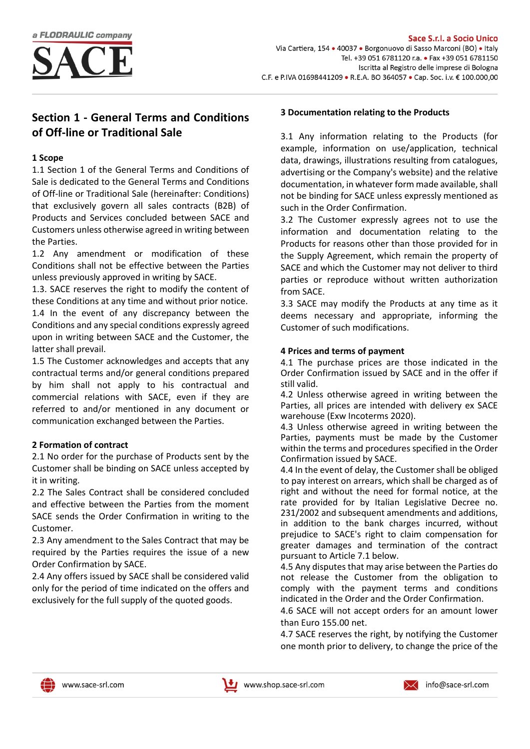

# **Section 1 - General Terms and Conditions of Off-line or Traditional Sale**

### **1 Scope**

1.1 Section 1 of the General Terms and Conditions of Sale is dedicated to the General Terms and Conditions of Off-line or Traditional Sale (hereinafter: Conditions) that exclusively govern all sales contracts (B2B) of Products and Services concluded between SACE and Customers unless otherwise agreed in writing between the Parties.

1.2 Any amendment or modification of these Conditions shall not be effective between the Parties unless previously approved in writing by SACE.

1.3. SACE reserves the right to modify the content of these Conditions at any time and without prior notice. 1.4 In the event of any discrepancy between the Conditions and any special conditions expressly agreed upon in writing between SACE and the Customer, the latter shall prevail.

1.5 The Customer acknowledges and accepts that any contractual terms and/or general conditions prepared by him shall not apply to his contractual and commercial relations with SACE, even if they are referred to and/or mentioned in any document or communication exchanged between the Parties.

# **2 Formation of contract**

2.1 No order for the purchase of Products sent by the Customer shall be binding on SACE unless accepted by it in writing.

2.2 The Sales Contract shall be considered concluded and effective between the Parties from the moment SACE sends the Order Confirmation in writing to the Customer.

2.3 Any amendment to the Sales Contract that may be required by the Parties requires the issue of a new Order Confirmation by SACE.

2.4 Any offers issued by SACE shall be considered valid only for the period of time indicated on the offers and exclusively for the full supply of the quoted goods.

# **3 Documentation relating to the Products**

3.1 Any information relating to the Products (for example, information on use/application, technical data, drawings, illustrations resulting from catalogues, advertising or the Company's website) and the relative documentation, in whatever form made available, shall not be binding for SACE unless expressly mentioned as such in the Order Confirmation.

3.2 The Customer expressly agrees not to use the information and documentation relating to the Products for reasons other than those provided for in the Supply Agreement, which remain the property of SACE and which the Customer may not deliver to third parties or reproduce without written authorization from SACE.

3.3 SACE may modify the Products at any time as it deems necessary and appropriate, informing the Customer of such modifications.

# **4 Prices and terms of payment**

4.1 The purchase prices are those indicated in the Order Confirmation issued by SACE and in the offer if still valid.

4.2 Unless otherwise agreed in writing between the Parties, all prices are intended with delivery ex SACE warehouse (Exw Incoterms 2020).

4.3 Unless otherwise agreed in writing between the Parties, payments must be made by the Customer within the terms and procedures specified in the Order Confirmation issued by SACE.

4.4 In the event of delay, the Customer shall be obliged to pay interest on arrears, which shall be charged as of right and without the need for formal notice, at the rate provided for by Italian Legislative Decree no. 231/2002 and subsequent amendments and additions, in addition to the bank charges incurred, without prejudice to SACE's right to claim compensation for greater damages and termination of the contract pursuant to Article 7.1 below.

4.5 Any disputes that may arise between the Parties do not release the Customer from the obligation to comply with the payment terms and conditions indicated in the Order and the Order Confirmation.

4.6 SACE will not accept orders for an amount lower than Euro 155.00 net.

4.7 SACE reserves the right, by notifying the Customer one month prior to delivery, to change the price of the



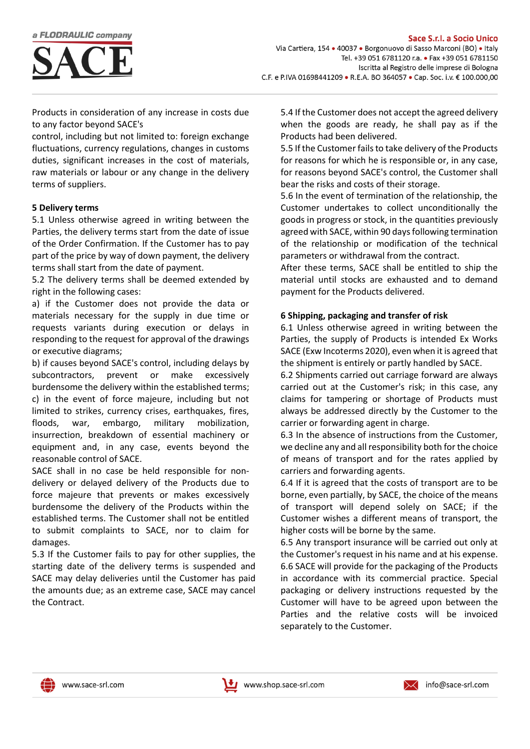

Products in consideration of any increase in costs due to any factor beyond SACE's

control, including but not limited to: foreign exchange fluctuations, currency regulations, changes in customs duties, significant increases in the cost of materials, raw materials or labour or any change in the delivery terms of suppliers.

#### **5 Delivery terms**

5.1 Unless otherwise agreed in writing between the Parties, the delivery terms start from the date of issue of the Order Confirmation. If the Customer has to pay part of the price by way of down payment, the delivery terms shall start from the date of payment.

5.2 The delivery terms shall be deemed extended by right in the following cases:

a) if the Customer does not provide the data or materials necessary for the supply in due time or requests variants during execution or delays in responding to the request for approval of the drawings or executive diagrams;

b) if causes beyond SACE's control, including delays by subcontractors, prevent or make excessively burdensome the delivery within the established terms; c) in the event of force majeure, including but not limited to strikes, currency crises, earthquakes, fires, floods, war, embargo, military mobilization, insurrection, breakdown of essential machinery or equipment and, in any case, events beyond the reasonable control of SACE.

SACE shall in no case be held responsible for nondelivery or delayed delivery of the Products due to force majeure that prevents or makes excessively burdensome the delivery of the Products within the established terms. The Customer shall not be entitled to submit complaints to SACE, nor to claim for damages.

5.3 If the Customer fails to pay for other supplies, the starting date of the delivery terms is suspended and SACE may delay deliveries until the Customer has paid the amounts due; as an extreme case, SACE may cancel the Contract.

5.4 If the Customer does not accept the agreed delivery when the goods are ready, he shall pay as if the Products had been delivered.

5.5 If the Customer fails to take delivery of the Products for reasons for which he is responsible or, in any case, for reasons beyond SACE's control, the Customer shall bear the risks and costs of their storage.

5.6 In the event of termination of the relationship, the Customer undertakes to collect unconditionally the goods in progress or stock, in the quantities previously agreed with SACE, within 90 days following termination of the relationship or modification of the technical parameters or withdrawal from the contract.

After these terms, SACE shall be entitled to ship the material until stocks are exhausted and to demand payment for the Products delivered.

### **6 Shipping, packaging and transfer of risk**

6.1 Unless otherwise agreed in writing between the Parties, the supply of Products is intended Ex Works SACE (Exw Incoterms 2020), even when it is agreed that the shipment is entirely or partly handled by SACE.

6.2 Shipments carried out carriage forward are always carried out at the Customer's risk; in this case, any claims for tampering or shortage of Products must always be addressed directly by the Customer to the carrier or forwarding agent in charge.

6.3 In the absence of instructions from the Customer, we decline any and all responsibility both for the choice of means of transport and for the rates applied by carriers and forwarding agents.

6.4 If it is agreed that the costs of transport are to be borne, even partially, by SACE, the choice of the means of transport will depend solely on SACE; if the Customer wishes a different means of transport, the higher costs will be borne by the same.

6.5 Any transport insurance will be carried out only at the Customer's request in his name and at his expense. 6.6 SACE will provide for the packaging of the Products in accordance with its commercial practice. Special packaging or delivery instructions requested by the Customer will have to be agreed upon between the Parties and the relative costs will be invoiced separately to the Customer.



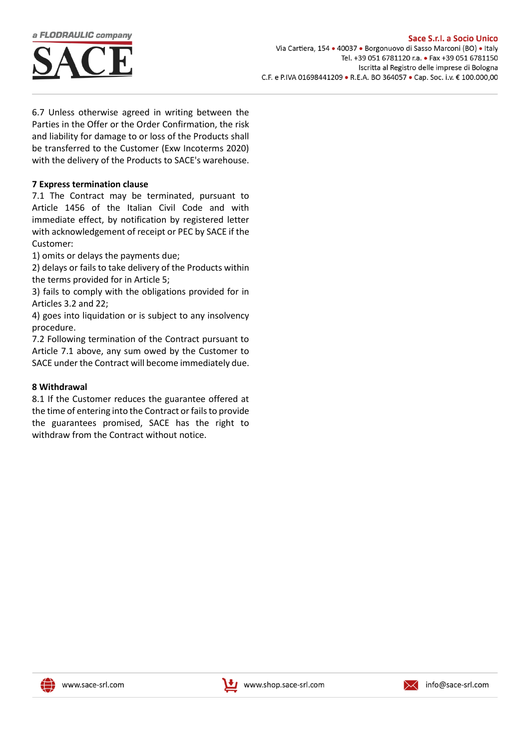

6.7 Unless otherwise agreed in writing between the Parties in the Offer or the Order Confirmation, the risk and liability for damage to or loss of the Products shall be transferred to the Customer (Exw Incoterms 2020) with the delivery of the Products to SACE's warehouse.

### **7 Express termination clause**

7.1 The Contract may be terminated, pursuant to Article 1456 of the Italian Civil Code and with immediate effect, by notification by registered letter with acknowledgement of receipt or PEC by SACE if the Customer:

1) omits or delays the payments due;

2) delays or fails to take delivery of the Products within the terms provided for in Article 5;

3) fails to comply with the obligations provided for in Articles 3.2 and 22;

4) goes into liquidation or is subject to any insolvency procedure.

7.2 Following termination of the Contract pursuant to Article 7.1 above, any sum owed by the Customer to SACE under the Contract will become immediately due.

#### **8 Withdrawal**

8.1 If the Customer reduces the guarantee offered at the time of entering into the Contract or fails to provide the guarantees promised, SACE has the right to withdraw from the Contract without notice.





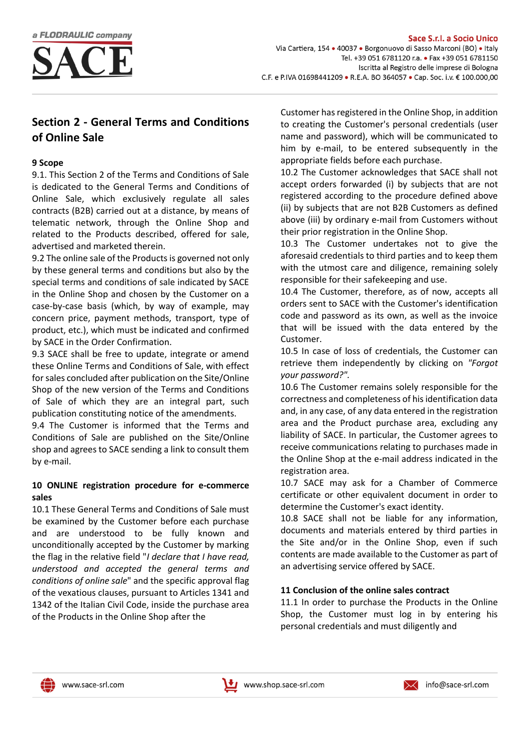

# **Section 2 - General Terms and Conditions of Online Sale**

## **9 Scope**

9.1. This Section 2 of the Terms and Conditions of Sale is dedicated to the General Terms and Conditions of Online Sale, which exclusively regulate all sales contracts (B2B) carried out at a distance, by means of telematic network, through the Online Shop and related to the Products described, offered for sale, advertised and marketed therein.

9.2 The online sale of the Products is governed not only by these general terms and conditions but also by the special terms and conditions of sale indicated by SACE in the Online Shop and chosen by the Customer on a case-by-case basis (which, by way of example, may concern price, payment methods, transport, type of product, etc.), which must be indicated and confirmed by SACE in the Order Confirmation.

9.3 SACE shall be free to update, integrate or amend these Online Terms and Conditions of Sale, with effect for sales concluded after publication on the Site/Online Shop of the new version of the Terms and Conditions of Sale of which they are an integral part, such publication constituting notice of the amendments.

9.4 The Customer is informed that the Terms and Conditions of Sale are published on the Site/Online shop and agrees to SACE sending a link to consult them by e-mail.

# **10 ONLINE registration procedure for e-commerce sales**

10.1 These General Terms and Conditions of Sale must be examined by the Customer before each purchase and are understood to be fully known and unconditionally accepted by the Customer by marking the flag in the relative field "*I declare that I have read, understood and accepted the general terms and conditions of online sale*" and the specific approval flag of the vexatious clauses, pursuant to Articles 1341 and 1342 of the Italian Civil Code, inside the purchase area of the Products in the Online Shop after the

Customer has registered in the Online Shop, in addition to creating the Customer's personal credentials (user name and password), which will be communicated to him by e-mail, to be entered subsequently in the appropriate fields before each purchase.

10.2 The Customer acknowledges that SACE shall not accept orders forwarded (i) by subjects that are not registered according to the procedure defined above (ii) by subjects that are not B2B Customers as defined above (iii) by ordinary e-mail from Customers without their prior registration in the Online Shop.

10.3 The Customer undertakes not to give the aforesaid credentials to third parties and to keep them with the utmost care and diligence, remaining solely responsible for their safekeeping and use.

10.4 The Customer, therefore, as of now, accepts all orders sent to SACE with the Customer's identification code and password as its own, as well as the invoice that will be issued with the data entered by the Customer.

10.5 In case of loss of credentials, the Customer can retrieve them independently by clicking on *"Forgot your password?".*

10.6 The Customer remains solely responsible for the correctness and completeness of his identification data and, in any case, of any data entered in the registration area and the Product purchase area, excluding any liability of SACE. In particular, the Customer agrees to receive communications relating to purchases made in the Online Shop at the e-mail address indicated in the registration area.

10.7 SACE may ask for a Chamber of Commerce certificate or other equivalent document in order to determine the Customer's exact identity.

10.8 SACE shall not be liable for any information, documents and materials entered by third parties in the Site and/or in the Online Shop, even if such contents are made available to the Customer as part of an advertising service offered by SACE.

# **11 Conclusion of the online sales contract**

11.1 In order to purchase the Products in the Online Shop, the Customer must log in by entering his personal credentials and must diligently and





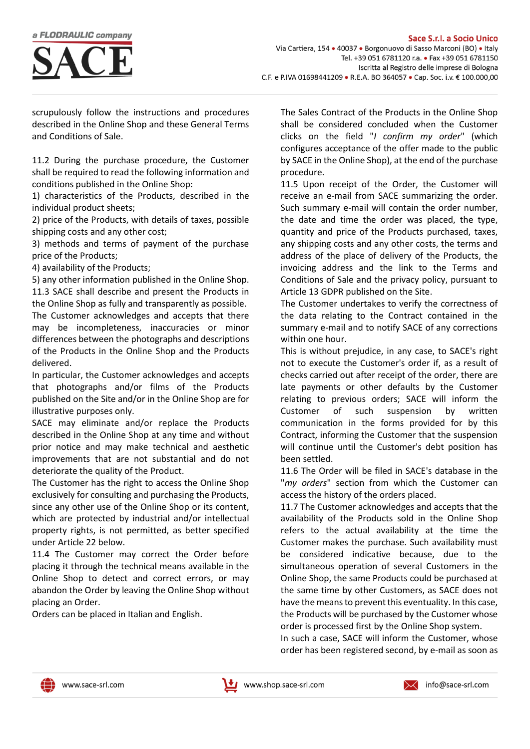

scrupulously follow the instructions and procedures described in the Online Shop and these General Terms and Conditions of Sale.

11.2 During the purchase procedure, the Customer shall be required to read the following information and conditions published in the Online Shop:

1) characteristics of the Products, described in the individual product sheets;

2) price of the Products, with details of taxes, possible shipping costs and any other cost;

3) methods and terms of payment of the purchase price of the Products;

4) availability of the Products;

5) any other information published in the Online Shop. 11.3 SACE shall describe and present the Products in

the Online Shop as fully and transparently as possible. The Customer acknowledges and accepts that there may be incompleteness, inaccuracies or minor differences between the photographs and descriptions of the Products in the Online Shop and the Products delivered.

In particular, the Customer acknowledges and accepts that photographs and/or films of the Products published on the Site and/or in the Online Shop are for illustrative purposes only.

SACE may eliminate and/or replace the Products described in the Online Shop at any time and without prior notice and may make technical and aesthetic improvements that are not substantial and do not deteriorate the quality of the Product.

The Customer has the right to access the Online Shop exclusively for consulting and purchasing the Products, since any other use of the Online Shop or its content, which are protected by industrial and/or intellectual property rights, is not permitted, as better specified under Article 22 below.

11.4 The Customer may correct the Order before placing it through the technical means available in the Online Shop to detect and correct errors, or may abandon the Order by leaving the Online Shop without placing an Order.

Orders can be placed in Italian and English.

The Sales Contract of the Products in the Online Shop shall be considered concluded when the Customer clicks on the field "*I confirm my order*" (which configures acceptance of the offer made to the public by SACE in the Online Shop), at the end of the purchase procedure.

11.5 Upon receipt of the Order, the Customer will receive an e-mail from SACE summarizing the order. Such summary e-mail will contain the order number, the date and time the order was placed, the type, quantity and price of the Products purchased, taxes, any shipping costs and any other costs, the terms and address of the place of delivery of the Products, the invoicing address and the link to the Terms and Conditions of Sale and the privacy policy, pursuant to Article 13 GDPR published on the Site.

The Customer undertakes to verify the correctness of the data relating to the Contract contained in the summary e-mail and to notify SACE of any corrections within one hour.

This is without prejudice, in any case, to SACE's right not to execute the Customer's order if, as a result of checks carried out after receipt of the order, there are late payments or other defaults by the Customer relating to previous orders; SACE will inform the Customer of such suspension by written communication in the forms provided for by this Contract, informing the Customer that the suspension will continue until the Customer's debt position has been settled.

11.6 The Order will be filed in SACE's database in the "*my orders*" section from which the Customer can access the history of the orders placed.

11.7 The Customer acknowledges and accepts that the availability of the Products sold in the Online Shop refers to the actual availability at the time the Customer makes the purchase. Such availability must be considered indicative because, due to the simultaneous operation of several Customers in the Online Shop, the same Products could be purchased at the same time by other Customers, as SACE does not have the means to prevent this eventuality. In this case, the Products will be purchased by the Customer whose order is processed first by the Online Shop system.

In such a case, SACE will inform the Customer, whose order has been registered second, by e-mail as soon as



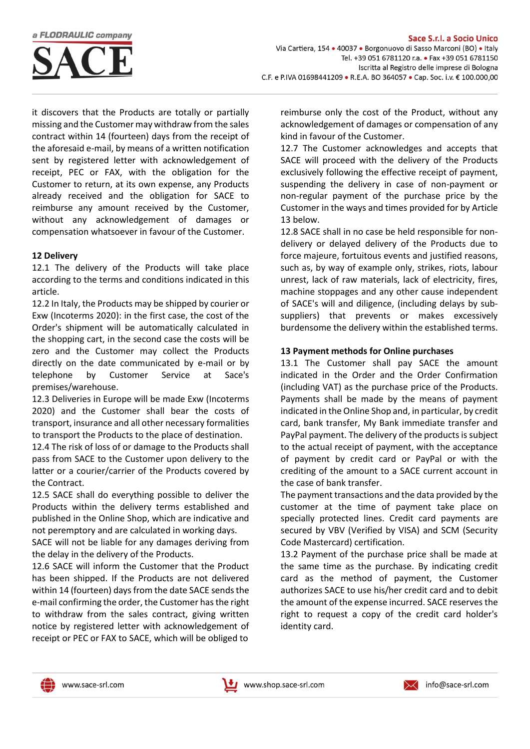

it discovers that the Products are totally or partially missing and the Customer may withdraw from the sales contract within 14 (fourteen) days from the receipt of the aforesaid e-mail, by means of a written notification sent by registered letter with acknowledgement of receipt, PEC or FAX, with the obligation for the Customer to return, at its own expense, any Products already received and the obligation for SACE to reimburse any amount received by the Customer, without any acknowledgement of damages or compensation whatsoever in favour of the Customer.

#### **12 Delivery**

12.1 The delivery of the Products will take place according to the terms and conditions indicated in this article.

12.2 In Italy, the Products may be shipped by courier or Exw (Incoterms 2020): in the first case, the cost of the Order's shipment will be automatically calculated in the shopping cart, in the second case the costs will be zero and the Customer may collect the Products directly on the date communicated by e-mail or by telephone by Customer Service at Sace's premises/warehouse.

12.3 Deliveries in Europe will be made Exw (Incoterms 2020) and the Customer shall bear the costs of transport, insurance and all other necessary formalities to transport the Products to the place of destination.

12.4 The risk of loss of or damage to the Products shall pass from SACE to the Customer upon delivery to the latter or a courier/carrier of the Products covered by the Contract.

12.5 SACE shall do everything possible to deliver the Products within the delivery terms established and published in the Online Shop, which are indicative and not peremptory and are calculated in working days.

SACE will not be liable for any damages deriving from the delay in the delivery of the Products.

12.6 SACE will inform the Customer that the Product has been shipped. If the Products are not delivered within 14 (fourteen) days from the date SACE sends the e-mail confirming the order, the Customer has the right to withdraw from the sales contract, giving written notice by registered letter with acknowledgement of receipt or PEC or FAX to SACE, which will be obliged to

reimburse only the cost of the Product, without any acknowledgement of damages or compensation of any kind in favour of the Customer.

12.7 The Customer acknowledges and accepts that SACE will proceed with the delivery of the Products exclusively following the effective receipt of payment, suspending the delivery in case of non-payment or non-regular payment of the purchase price by the Customer in the ways and times provided for by Article 13 below.

12.8 SACE shall in no case be held responsible for nondelivery or delayed delivery of the Products due to force majeure, fortuitous events and justified reasons, such as, by way of example only, strikes, riots, labour unrest, lack of raw materials, lack of electricity, fires, machine stoppages and any other cause independent of SACE's will and diligence, (including delays by subsuppliers) that prevents or makes excessively burdensome the delivery within the established terms.

### **13 Payment methods for Online purchases**

13.1 The Customer shall pay SACE the amount indicated in the Order and the Order Confirmation (including VAT) as the purchase price of the Products. Payments shall be made by the means of payment indicated in the Online Shop and, in particular, by credit card, bank transfer, My Bank immediate transfer and PayPal payment. The delivery of the products is subject to the actual receipt of payment, with the acceptance of payment by credit card or PayPal or with the crediting of the amount to a SACE current account in the case of bank transfer.

The payment transactions and the data provided by the customer at the time of payment take place on specially protected lines. Credit card payments are secured by VBV (Verified by VISA) and SCM (Security Code Mastercard) certification.

13.2 Payment of the purchase price shall be made at the same time as the purchase. By indicating credit card as the method of payment, the Customer authorizes SACE to use his/her credit card and to debit the amount of the expense incurred. SACE reserves the right to request a copy of the credit card holder's identity card.





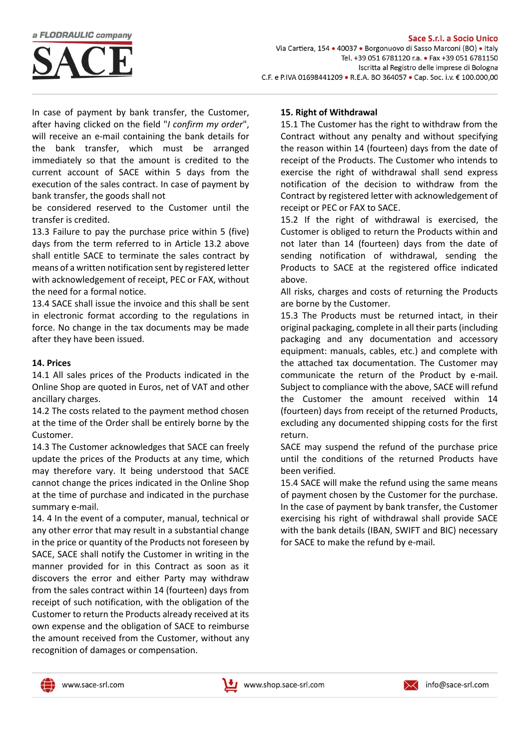

In case of payment by bank transfer, the Customer, after having clicked on the field "*I confirm my order*", will receive an e-mail containing the bank details for the bank transfer, which must be arranged immediately so that the amount is credited to the current account of SACE within 5 days from the execution of the sales contract. In case of payment by bank transfer, the goods shall not

be considered reserved to the Customer until the transfer is credited.

13.3 Failure to pay the purchase price within 5 (five) days from the term referred to in Article 13.2 above shall entitle SACE to terminate the sales contract by means of a written notification sent by registered letter with acknowledgement of receipt, PEC or FAX, without the need for a formal notice.

13.4 SACE shall issue the invoice and this shall be sent in electronic format according to the regulations in force. No change in the tax documents may be made after they have been issued.

#### **14. Prices**

14.1 All sales prices of the Products indicated in the Online Shop are quoted in Euros, net of VAT and other ancillary charges.

14.2 The costs related to the payment method chosen at the time of the Order shall be entirely borne by the Customer.

14.3 The Customer acknowledges that SACE can freely update the prices of the Products at any time, which may therefore vary. It being understood that SACE cannot change the prices indicated in the Online Shop at the time of purchase and indicated in the purchase summary e-mail.

14. 4 In the event of a computer, manual, technical or any other error that may result in a substantial change in the price or quantity of the Products not foreseen by SACE, SACE shall notify the Customer in writing in the manner provided for in this Contract as soon as it discovers the error and either Party may withdraw from the sales contract within 14 (fourteen) days from receipt of such notification, with the obligation of the Customer to return the Products already received at its own expense and the obligation of SACE to reimburse the amount received from the Customer, without any recognition of damages or compensation.

#### **15. Right of Withdrawal**

15.1 The Customer has the right to withdraw from the Contract without any penalty and without specifying the reason within 14 (fourteen) days from the date of receipt of the Products. The Customer who intends to exercise the right of withdrawal shall send express notification of the decision to withdraw from the Contract by registered letter with acknowledgement of receipt or PEC or FAX to SACE.

15.2 If the right of withdrawal is exercised, the Customer is obliged to return the Products within and not later than 14 (fourteen) days from the date of sending notification of withdrawal, sending the Products to SACE at the registered office indicated above.

All risks, charges and costs of returning the Products are borne by the Customer.

15.3 The Products must be returned intact, in their original packaging, complete in all their parts (including packaging and any documentation and accessory equipment: manuals, cables, etc.) and complete with the attached tax documentation. The Customer may communicate the return of the Product by e-mail. Subject to compliance with the above, SACE will refund the Customer the amount received within 14 (fourteen) days from receipt of the returned Products, excluding any documented shipping costs for the first return.

SACE may suspend the refund of the purchase price until the conditions of the returned Products have been verified.

15.4 SACE will make the refund using the same means of payment chosen by the Customer for the purchase. In the case of payment by bank transfer, the Customer exercising his right of withdrawal shall provide SACE with the bank details (IBAN, SWIFT and BIC) necessary for SACE to make the refund by e-mail.



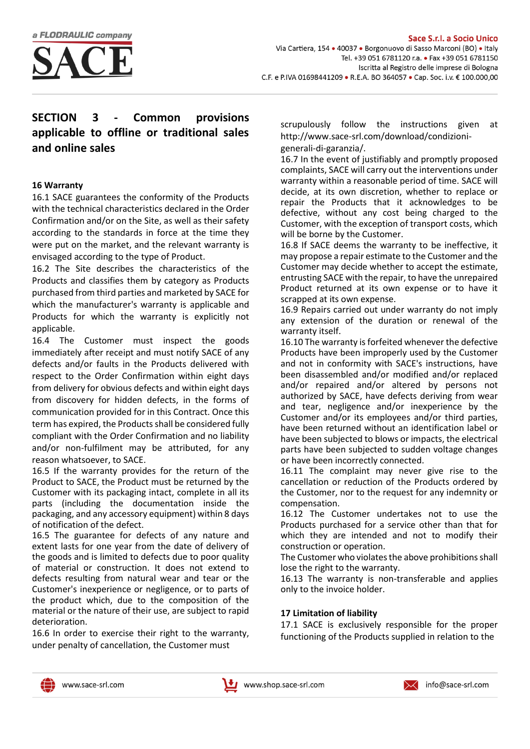

# **SECTION 3 - Common provisions applicable to offline or traditional sales and online sales**

# **16 Warranty**

16.1 SACE guarantees the conformity of the Products with the technical characteristics declared in the Order Confirmation and/or on the Site, as well as their safety according to the standards in force at the time they were put on the market, and the relevant warranty is envisaged according to the type of Product.

16.2 The Site describes the characteristics of the Products and classifies them by category as Products purchased from third parties and marketed by SACE for which the manufacturer's warranty is applicable and Products for which the warranty is explicitly not applicable.

16.4 The Customer must inspect the goods immediately after receipt and must notify SACE of any defects and/or faults in the Products delivered with respect to the Order Confirmation within eight days from delivery for obvious defects and within eight days from discovery for hidden defects, in the forms of communication provided for in this Contract. Once this term has expired, the Products shall be considered fully compliant with the Order Confirmation and no liability and/or non-fulfilment may be attributed, for any reason whatsoever, to SACE.

16.5 If the warranty provides for the return of the Product to SACE, the Product must be returned by the Customer with its packaging intact, complete in all its parts (including the documentation inside the packaging, and any accessory equipment) within 8 days of notification of the defect.

16.5 The guarantee for defects of any nature and extent lasts for one year from the date of delivery of the goods and is limited to defects due to poor quality of material or construction. It does not extend to defects resulting from natural wear and tear or the Customer's inexperience or negligence, or to parts of the product which, due to the composition of the material or the nature of their use, are subject to rapid deterioration.

16.6 In order to exercise their right to the warranty, under penalty of cancellation, the Customer must

scrupulously follow the instructions given at [http://www.sace-srl.com/download/condizioni](http://www.sace-srl.com/download/condizioni-generali-di-garanzia/)[generali-di-garanzia/.](http://www.sace-srl.com/download/condizioni-generali-di-garanzia/)

16.7 In the event of justifiably and promptly proposed complaints, SACE will carry out the interventions under warranty within a reasonable period of time. SACE will decide, at its own discretion, whether to replace or repair the Products that it acknowledges to be defective, without any cost being charged to the Customer, with the exception of transport costs, which will be borne by the Customer.

16.8 If SACE deems the warranty to be ineffective, it may propose a repair estimate to the Customer and the Customer may decide whether to accept the estimate, entrusting SACE with the repair, to have the unrepaired Product returned at its own expense or to have it scrapped at its own expense.

16.9 Repairs carried out under warranty do not imply any extension of the duration or renewal of the warranty itself.

16.10 The warranty is forfeited whenever the defective Products have been improperly used by the Customer and not in conformity with SACE's instructions, have been disassembled and/or modified and/or replaced and/or repaired and/or altered by persons not authorized by SACE, have defects deriving from wear and tear, negligence and/or inexperience by the Customer and/or its employees and/or third parties, have been returned without an identification label or have been subjected to blows or impacts, the electrical parts have been subjected to sudden voltage changes or have been incorrectly connected.

16.11 The complaint may never give rise to the cancellation or reduction of the Products ordered by the Customer, nor to the request for any indemnity or compensation.

16.12 The Customer undertakes not to use the Products purchased for a service other than that for which they are intended and not to modify their construction or operation.

The Customer who violates the above prohibitions shall lose the right to the warranty.

16.13 The warranty is non-transferable and applies only to the invoice holder.

# **17 Limitation of liability**

17.1 SACE is exclusively responsible for the proper functioning of the Products supplied in relation to the





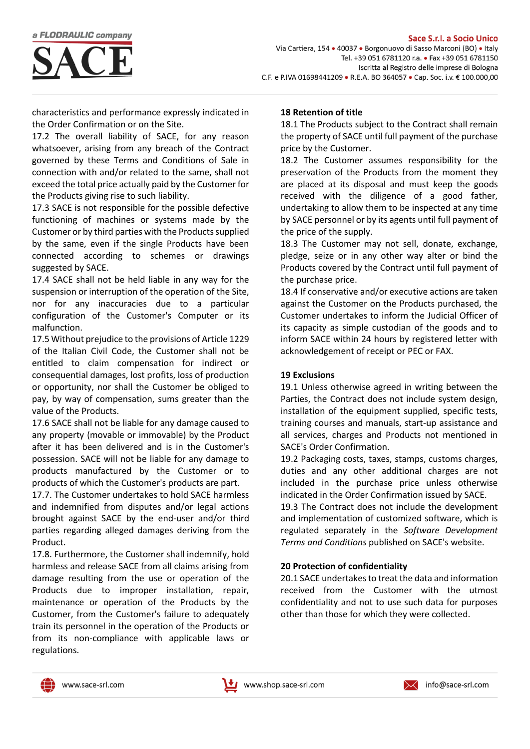

characteristics and performance expressly indicated in the Order Confirmation or on the Site.

17.2 The overall liability of SACE, for any reason whatsoever, arising from any breach of the Contract governed by these Terms and Conditions of Sale in connection with and/or related to the same, shall not exceed the total price actually paid by the Customer for the Products giving rise to such liability.

17.3 SACE is not responsible for the possible defective functioning of machines or systems made by the Customer or by third parties with the Products supplied by the same, even if the single Products have been connected according to schemes or drawings suggested by SACE.

17.4 SACE shall not be held liable in any way for the suspension or interruption of the operation of the Site, nor for any inaccuracies due to a particular configuration of the Customer's Computer or its malfunction.

17.5 Without prejudice to the provisions of Article 1229 of the Italian Civil Code, the Customer shall not be entitled to claim compensation for indirect or consequential damages, lost profits, loss of production or opportunity, nor shall the Customer be obliged to pay, by way of compensation, sums greater than the value of the Products.

17.6 SACE shall not be liable for any damage caused to any property (movable or immovable) by the Product after it has been delivered and is in the Customer's possession. SACE will not be liable for any damage to products manufactured by the Customer or to products of which the Customer's products are part.

17.7. The Customer undertakes to hold SACE harmless and indemnified from disputes and/or legal actions brought against SACE by the end-user and/or third parties regarding alleged damages deriving from the Product.

17.8. Furthermore, the Customer shall indemnify, hold harmless and release SACE from all claims arising from damage resulting from the use or operation of the Products due to improper installation, repair, maintenance or operation of the Products by the Customer, from the Customer's failure to adequately train its personnel in the operation of the Products or from its non-compliance with applicable laws or regulations.

# **18 Retention of title**

18.1 The Products subject to the Contract shall remain the property of SACE until full payment of the purchase price by the Customer.

18.2 The Customer assumes responsibility for the preservation of the Products from the moment they are placed at its disposal and must keep the goods received with the diligence of a good father, undertaking to allow them to be inspected at any time by SACE personnel or by its agents until full payment of the price of the supply.

18.3 The Customer may not sell, donate, exchange, pledge, seize or in any other way alter or bind the Products covered by the Contract until full payment of the purchase price.

18.4 If conservative and/or executive actions are taken against the Customer on the Products purchased, the Customer undertakes to inform the Judicial Officer of its capacity as simple custodian of the goods and to inform SACE within 24 hours by registered letter with acknowledgement of receipt or PEC or FAX.

## **19 Exclusions**

19.1 Unless otherwise agreed in writing between the Parties, the Contract does not include system design, installation of the equipment supplied, specific tests, training courses and manuals, start-up assistance and all services, charges and Products not mentioned in SACE's Order Confirmation.

19.2 Packaging costs, taxes, stamps, customs charges, duties and any other additional charges are not included in the purchase price unless otherwise indicated in the Order Confirmation issued by SACE.

19.3 The Contract does not include the development and implementation of customized software, which is regulated separately in the *Software Development Terms and Conditions* published on SACE's website.

# **20 Protection of confidentiality**

20.1 SACE undertakes to treat the data and information received from the Customer with the utmost confidentiality and not to use such data for purposes other than those for which they were collected.





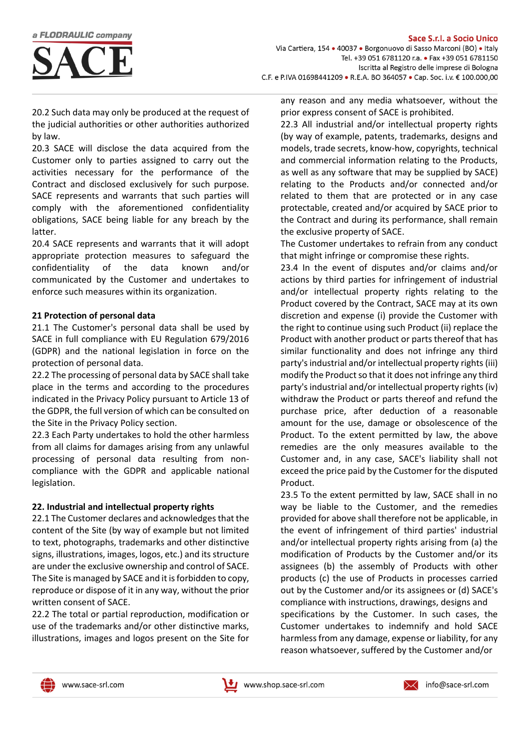

20.2 Such data may only be produced at the request of the judicial authorities or other authorities authorized by law.

20.3 SACE will disclose the data acquired from the Customer only to parties assigned to carry out the activities necessary for the performance of the Contract and disclosed exclusively for such purpose. SACE represents and warrants that such parties will comply with the aforementioned confidentiality obligations, SACE being liable for any breach by the latter.

20.4 SACE represents and warrants that it will adopt appropriate protection measures to safeguard the confidentiality of the data known and/or communicated by the Customer and undertakes to enforce such measures within its organization.

#### **21 Protection of personal data**

21.1 The Customer's personal data shall be used by SACE in full compliance with EU Regulation 679/2016 (GDPR) and the national legislation in force on the protection of personal data.

22.2 The processing of personal data by SACE shall take place in the terms and according to the procedures indicated in the Privacy Policy pursuant to Article 13 of the GDPR, the full version of which can be consulted on the Site in the Privacy Policy section.

22.3 Each Party undertakes to hold the other harmless from all claims for damages arising from any unlawful processing of personal data resulting from noncompliance with the GDPR and applicable national legislation.

#### **22. Industrial and intellectual property rights**

22.1 The Customer declares and acknowledges that the content of the Site (by way of example but not limited to text, photographs, trademarks and other distinctive signs, illustrations, images, logos, etc.) and its structure are under the exclusive ownership and control of SACE. The Site is managed by SACE and it is forbidden to copy, reproduce or dispose of it in any way, without the prior written consent of SACE.

22.2 The total or partial reproduction, modification or use of the trademarks and/or other distinctive marks, illustrations, images and logos present on the Site for

any reason and any media whatsoever, without the prior express consent of SACE is prohibited.

22.3 All industrial and/or intellectual property rights (by way of example, patents, trademarks, designs and models, trade secrets, know-how, copyrights, technical and commercial information relating to the Products, as well as any software that may be supplied by SACE) relating to the Products and/or connected and/or related to them that are protected or in any case protectable, created and/or acquired by SACE prior to the Contract and during its performance, shall remain the exclusive property of SACE.

The Customer undertakes to refrain from any conduct that might infringe or compromise these rights.

23.4 In the event of disputes and/or claims and/or actions by third parties for infringement of industrial and/or intellectual property rights relating to the Product covered by the Contract, SACE may at its own discretion and expense (i) provide the Customer with the right to continue using such Product (ii) replace the Product with another product or parts thereof that has similar functionality and does not infringe any third party's industrial and/or intellectual property rights (iii) modify the Product so that it does not infringe any third party's industrial and/or intellectual property rights (iv) withdraw the Product or parts thereof and refund the purchase price, after deduction of a reasonable amount for the use, damage or obsolescence of the Product. To the extent permitted by law, the above remedies are the only measures available to the Customer and, in any case, SACE's liability shall not exceed the price paid by the Customer for the disputed Product.

23.5 To the extent permitted by law, SACE shall in no way be liable to the Customer, and the remedies provided for above shall therefore not be applicable, in the event of infringement of third parties' industrial and/or intellectual property rights arising from (a) the modification of Products by the Customer and/or its assignees (b) the assembly of Products with other products (c) the use of Products in processes carried out by the Customer and/or its assignees or (d) SACE's compliance with instructions, drawings, designs and specifications by the Customer. In such cases, the Customer undertakes to indemnify and hold SACE harmless from any damage, expense or liability, for any reason whatsoever, suffered by the Customer and/or